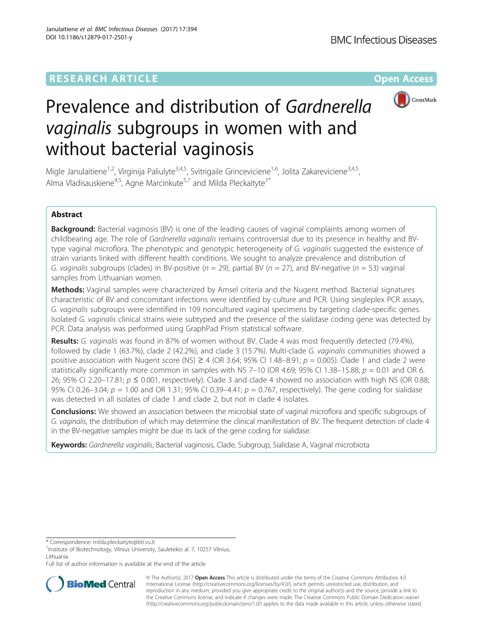

# Prevalence and distribution of Gardnerella vaginalis subgroups in women with and without bacterial vaginosis

Migle Janulaitiene<sup>1,2</sup>, Virginija Paliulyte<sup>3,4,5</sup>, Svitrigaile Grinceviciene<sup>1,6</sup>, Jolita Zakareviciene<sup>3,4,5</sup>, Alma Vladisauskiene<sup>4,5</sup>, Agne Marcinkute<sup>5,7</sup> and Milda Pleckaityte<sup>1\*</sup>

# Abstract

Background: Bacterial vaginosis (BV) is one of the leading causes of vaginal complaints among women of childbearing age. The role of Gardnerella vaginalis remains controversial due to its presence in healthy and BVtype vaginal microflora. The phenotypic and genotypic heterogeneity of G. vaginalis suggested the existence of strain variants linked with different health conditions. We sought to analyze prevalence and distribution of G. vaginalis subgroups (clades) in BV-positive ( $n = 29$ ), partial BV ( $n = 27$ ), and BV-negative ( $n = 53$ ) vaginal samples from Lithuanian women.

Methods: Vaginal samples were characterized by Amsel criteria and the Nugent method. Bacterial signatures characteristic of BV and concomitant infections were identified by culture and PCR. Using singleplex PCR assays, G. vaginalis subgroups were identified in 109 noncultured vaginal specimens by targeting clade-specific genes. Isolated G. vaginalis clinical strains were subtyped and the presence of the sialidase coding gene was detected by PCR. Data analysis was performed using GraphPad Prism statistical software.

Results: G. vaginalis was found in 87% of women without BV. Clade 4 was most frequently detected (79.4%), followed by clade 1 (63.7%), clade 2 (42.2%), and clade 3 (15.7%). Multi-clade G. vaginalis communities showed a positive association with Nugent score (NS)  $\geq$  4 (OR 3.64; 95% CI 1.48–8.91;  $p = 0.005$ ). Clade 1 and clade 2 were statistically significantly more common in samples with NS 7-10 (OR 4.69; 95% CI 1.38-15.88;  $p = 0.01$  and OR 6. 26; 95% CI 2.20–17.81;  $p \le 0.001$ , respectively). Clade 3 and clade 4 showed no association with high NS (OR 0.88; 95% CI 0.26–3.04;  $p = 1.00$  and OR 1.31; 95% CI 0.39–4.41;  $p = 0.767$ , respectively). The gene coding for sialidase was detected in all isolates of clade 1 and clade 2, but not in clade 4 isolates.

**Conclusions:** We showed an association between the microbial state of vaginal microflora and specific subgroups of G. vaginalis, the distribution of which may determine the clinical manifestation of BV. The frequent detection of clade 4 in the BV-negative samples might be due its lack of the gene coding for sialidase.

Keywords: Gardnerella vaginalis, Bacterial vaginosis, Clade, Subgroup, Sialidase A, Vaginal microbiota

\* Correspondence: [milda.pleckaityte@bti.vu.lt](mailto:milda.pleckaityte@bti.vu.lt) <sup>1</sup>

<sup>1</sup>Institute of Biotechnology, Vilnius University, Sauletekio al. 7, 10257 Vilnius, Lithuania

Full list of author information is available at the end of the article



© The Author(s). 2017 **Open Access** This article is distributed under the terms of the Creative Commons Attribution 4.0 International License [\(http://creativecommons.org/licenses/by/4.0/](http://creativecommons.org/licenses/by/4.0/)), which permits unrestricted use, distribution, and reproduction in any medium, provided you give appropriate credit to the original author(s) and the source, provide a link to the Creative Commons license, and indicate if changes were made. The Creative Commons Public Domain Dedication waiver [\(http://creativecommons.org/publicdomain/zero/1.0/](http://creativecommons.org/publicdomain/zero/1.0/)) applies to the data made available in this article, unless otherwise stated.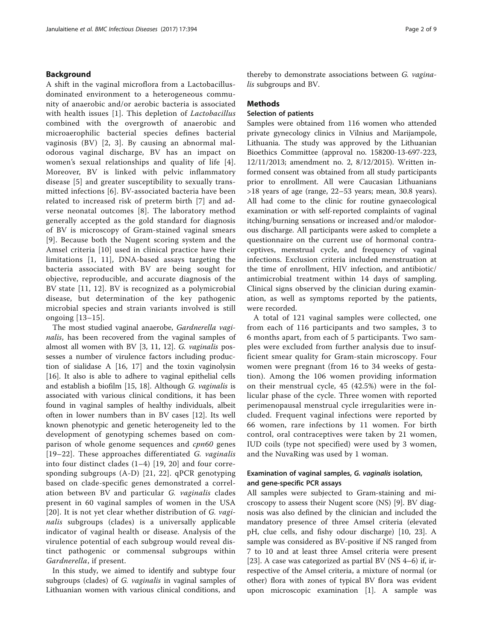# Background

A shift in the vaginal microflora from a Lactobacillusdominated environment to a heterogeneous community of anaerobic and/or aerobic bacteria is associated with health issues [\[1](#page-7-0)]. This depletion of Lactobacillus combined with the overgrowth of anaerobic and microaerophilic bacterial species defines bacterial vaginosis (BV) [[2, 3\]](#page-7-0). By causing an abnormal malodorous vaginal discharge, BV has an impact on women's sexual relationships and quality of life [[4](#page-8-0)]. Moreover, BV is linked with pelvic inflammatory disease [\[5](#page-8-0)] and greater susceptibility to sexually transmitted infections [\[6\]](#page-8-0). BV-associated bacteria have been related to increased risk of preterm birth [[7\]](#page-8-0) and adverse neonatal outcomes [[8](#page-8-0)]. The laboratory method generally accepted as the gold standard for diagnosis of BV is microscopy of Gram-stained vaginal smears [[9](#page-8-0)]. Because both the Nugent scoring system and the Amsel criteria [\[10\]](#page-8-0) used in clinical practice have their limitations [\[1](#page-7-0), [11\]](#page-8-0), DNA-based assays targeting the bacteria associated with BV are being sought for objective, reproducible, and accurate diagnosis of the BV state [\[11, 12\]](#page-8-0). BV is recognized as a polymicrobial disease, but determination of the key pathogenic microbial species and strain variants involved is still ongoing [[13](#page-8-0)–[15\]](#page-8-0).

The most studied vaginal anaerobe, Gardnerella vaginalis, has been recovered from the vaginal samples of almost all women with BV [\[3,](#page-7-0) [11, 12](#page-8-0)]. G. vaginalis possesses a number of virulence factors including production of sialidase A [\[16](#page-8-0), [17](#page-8-0)] and the toxin vaginolysin [[16\]](#page-8-0). It also is able to adhere to vaginal epithelial cells and establish a biofilm [[15](#page-8-0), [18\]](#page-8-0). Although G. vaginalis is associated with various clinical conditions, it has been found in vaginal samples of healthy individuals, albeit often in lower numbers than in BV cases [\[12](#page-8-0)]. Its well known phenotypic and genetic heterogeneity led to the development of genotyping schemes based on comparison of whole genome sequences and *cpn60* genes [[19](#page-8-0)–[22](#page-8-0)]. These approaches differentiated G. vaginalis into four distinct clades (1–4) [[19](#page-8-0), [20](#page-8-0)] and four corresponding subgroups (A-D) [\[21](#page-8-0), [22\]](#page-8-0). qPCR genotyping based on clade-specific genes demonstrated a correlation between BV and particular G. vaginalis clades present in 60 vaginal samples of women in the USA [[20](#page-8-0)]. It is not yet clear whether distribution of G. vaginalis subgroups (clades) is a universally applicable indicator of vaginal health or disease. Analysis of the virulence potential of each subgroup would reveal distinct pathogenic or commensal subgroups within Gardnerella, if present.

In this study, we aimed to identify and subtype four subgroups (clades) of G. *vaginalis* in vaginal samples of Lithuanian women with various clinical conditions, and

thereby to demonstrate associations between G. vaginalis subgroups and BV.

#### Methods

# Selection of patients

Samples were obtained from 116 women who attended private gynecology clinics in Vilnius and Marijampole, Lithuania. The study was approved by the Lithuanian Bioethics Committee (approval no. 158200-13-697-223, 12/11/2013; amendment no. 2, 8/12/2015). Written informed consent was obtained from all study participants prior to enrollment. All were Caucasian Lithuanians >18 years of age (range, 22–53 years; mean, 30.8 years). All had come to the clinic for routine gynaecological examination or with self-reported complaints of vaginal itching/burning sensations or increased and/or malodorous discharge. All participants were asked to complete a questionnaire on the current use of hormonal contraceptives, menstrual cycle, and frequency of vaginal infections. Exclusion criteria included menstruation at the time of enrollment, HIV infection, and antibiotic/ antimicrobial treatment within 14 days of sampling. Clinical signs observed by the clinician during examination, as well as symptoms reported by the patients, were recorded.

A total of 121 vaginal samples were collected, one from each of 116 participants and two samples, 3 to 6 months apart, from each of 5 participants. Two samples were excluded from further analysis due to insufficient smear quality for Gram-stain microscopy. Four women were pregnant (from 16 to 34 weeks of gestation). Among the 106 women providing information on their menstrual cycle, 45 (42.5%) were in the follicular phase of the cycle. Three women with reported perimenopausal menstrual cycle irregularities were included. Frequent vaginal infections were reported by 66 women, rare infections by 11 women. For birth control, oral contraceptives were taken by 21 women, IUD coils (type not specified) were used by 3 women, and the NuvaRing was used by 1 woman.

# Examination of vaginal samples, G. vaginalis isolation, and gene-specific PCR assays

All samples were subjected to Gram-staining and microscopy to assess their Nugent score (NS) [[9\]](#page-8-0). BV diagnosis was also defined by the clinician and included the mandatory presence of three Amsel criteria (elevated pH, clue cells, and fishy odour discharge) [[10](#page-8-0), [23](#page-8-0)]. A sample was considered as BV-positive if NS ranged from 7 to 10 and at least three Amsel criteria were present [[23\]](#page-8-0). A case was categorized as partial BV (NS 4–6) if, irrespective of the Amsel criteria, a mixture of normal (or other) flora with zones of typical BV flora was evident upon microscopic examination [\[1](#page-7-0)]. A sample was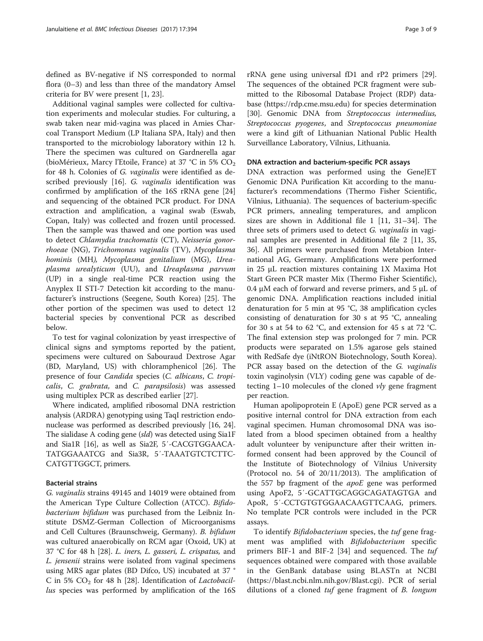defined as BV-negative if NS corresponded to normal flora (0–3) and less than three of the mandatory Amsel criteria for BV were present [\[1,](#page-7-0) [23\]](#page-8-0).

Additional vaginal samples were collected for cultivation experiments and molecular studies. For culturing, a swab taken near mid-vagina was placed in Amies Charcoal Transport Medium (LP Italiana SPA, Italy) and then transported to the microbiology laboratory within 12 h. There the specimen was cultured on Gardnerella agar (bioMérieux, Marcy l'Etoile, France) at 37 °C in 5%  $CO<sub>2</sub>$ for 48 h. Colonies of G. vaginalis were identified as de-scribed previously [[16\]](#page-8-0). G. vaginalis identification was confirmed by amplification of the 16S rRNA gene [[24](#page-8-0)] and sequencing of the obtained PCR product. For DNA extraction and amplification, a vaginal swab (Eswab, Copan, Italy) was collected and frozen until processed. Then the sample was thawed and one portion was used to detect Chlamydia trachomatis (CT), Neisseria gonorrhoeae (NG), Trichomonas vaginalis (TV), Mycoplasma hominis (MH), Mycoplasma genitalium (MG), Ureaplasma urealyticum (UU), and Ureaplasma parvum (UP) in a single real-time PCR reaction using the Anyplex II STI-7 Detection kit according to the manufacturer's instructions (Seegene, South Korea) [\[25\]](#page-8-0). The other portion of the specimen was used to detect 12 bacterial species by conventional PCR as described below.

To test for vaginal colonization by yeast irrespective of clinical signs and symptoms reported by the patient, specimens were cultured on Sabouraud Dextrose Agar (BD, Maryland, US) with chloramphenicol [[26\]](#page-8-0). The presence of four Candida species (C. albicans, C. tropicalis, C. grabrata, and C. parapsilosis) was assessed using multiplex PCR as described earlier [\[27\]](#page-8-0).

Where indicated, amplified ribosomal DNA restriction analysis (ARDRA) genotyping using TaqI restriction endonuclease was performed as described previously [\[16, 24](#page-8-0)]. The sialidase A coding gene (sld) was detected using Sia1F and Sia1R [\[16](#page-8-0)], as well as Sia2F, 5′-CACGTGGAACA-TATGGAAATCG and Sia3R, 5′-TAAATGTCTCTTC-CATGTTGGCT, primers.

## Bacterial strains

G. vaginalis strains 49145 and 14019 were obtained from the American Type Culture Collection (ATCC). Bifidobacterium bifidum was purchased from the Leibniz Institute DSMZ-German Collection of Microorganisms and Cell Cultures (Braunschweig, Germany). B. bifidum was cultured anaerobically on RCM agar (Oxoid, UK) at 37 °C for 48 h [[28](#page-8-0)]. L. iners, L. gasseri, L. crispatus, and L. jensenii strains were isolated from vaginal specimens using MRS agar plates (BD Difco, US) incubated at 37 ° C in 5%  $CO<sub>2</sub>$  for 48 h [[28](#page-8-0)]. Identification of *Lactobacil*lus species was performed by amplification of the 16S

rRNA gene using universal fD1 and rP2 primers [\[29](#page-8-0)]. The sequences of the obtained PCR fragment were submitted to the Ribosomal Database Project (RDP) database (<https://rdp.cme.msu.edu>) for species determination [[30\]](#page-8-0). Genomic DNA from Streptococcus intermedius, Streptococcus pyogenes, and Streptococcus pneumoniae were a kind gift of Lithuanian National Public Health Surveillance Laboratory, Vilnius, Lithuania.

# DNA extraction and bacterium-specific PCR assays

DNA extraction was performed using the GeneJET Genomic DNA Purification Kit according to the manufacturer's recommendations (Thermo Fisher Scientific, Vilnius, Lithuania). The sequences of bacterium-specific PCR primers, annealing temperatures, and amplicon sizes are shown in Additional file [1](#page-7-0) [\[11](#page-8-0), [31](#page-8-0)–[34](#page-8-0)]. The three sets of primers used to detect G. vaginalis in vaginal samples are presented in Additional file [2](#page-7-0) [\[11, 35](#page-8-0), [36\]](#page-8-0). All primers were purchased from Metabion International AG, Germany. Amplifications were performed in 25 μL reaction mixtures containing 1X Maxima Hot Start Green PCR master Mix (Thermo Fisher Scientific), 0.4 μM each of forward and reverse primers, and 5 μL of genomic DNA. Amplification reactions included initial denaturation for 5 min at 95 °C, 38 amplification cycles consisting of denaturation for 30 s at 95 °C, annealing for 30 s at 54 to 62 °C, and extension for 45 s at 72 °C. The final extension step was prolonged for 7 min. PCR products were separated on 1.5% agarose gels stained with RedSafe dye (iNtRON Biotechnology, South Korea). PCR assay based on the detection of the G. vaginalis toxin vaginolysin (VLY) coding gene was capable of detecting  $1-10$  molecules of the cloned  $v/v$  gene fragment per reaction.

Human apolipoprotein E (ApoE) gene PCR served as a positive internal control for DNA extraction from each vaginal specimen. Human chromosomal DNA was isolated from a blood specimen obtained from a healthy adult volunteer by venipuncture after their written informed consent had been approved by the Council of the Institute of Biotechnology of Vilnius University (Protocol no. 54 of 20/11/2013). The amplification of the 557 bp fragment of the apoE gene was performed using ApoF2, 5′-GCATTGCAGGCAGATAGTGA and ApoR, 5′-CCTGTGTGGAACAAGTTCAAG, primers. No template PCR controls were included in the PCR assays.

To identify Bifidobacterium species, the tuf gene fragment was amplified with Bifidobacterium specific primers BIF-1 and BIF-2 [\[34](#page-8-0)] and sequenced. The tuf sequences obtained were compared with those available in the GenBank database using BLASTn at NCBI ([https://blast.ncbi.nlm.nih.gov/Blast.cgi\)](https://blast.ncbi.nlm.nih.gov/Blast.cgi). PCR of serial dilutions of a cloned tuf gene fragment of B. longum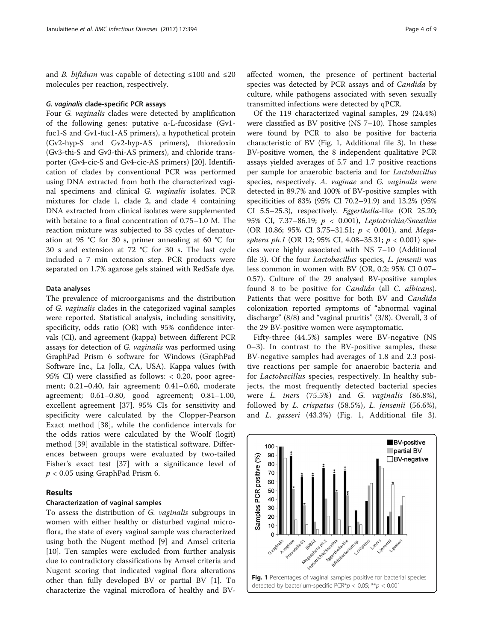and *B. bifidum* was capable of detecting  $\leq 100$  and  $\leq 20$ molecules per reaction, respectively.

#### G. vaginalis clade-specific PCR assays

Four G. vaginalis clades were detected by amplification of the following genes: putative α-L-fucosidase (Gv1 fuc1-S and Gv1-fuc1-AS primers), a hypothetical protein (Gv2-hyp-S and Gv2-hyp-AS primers), thioredoxin (Gv3-thi-S and Gv3-thi-AS primers), and chloride transporter (Gv4-cic-S and Gv4-cic-AS primers) [\[20](#page-8-0)]. Identification of clades by conventional PCR was performed using DNA extracted from both the characterized vaginal specimens and clinical G. vaginalis isolates. PCR mixtures for clade 1, clade 2, and clade 4 containing DNA extracted from clinical isolates were supplemented with betaine to a final concentration of 0.75–1.0 M. The reaction mixture was subjected to 38 cycles of denaturation at 95 °C for 30 s, primer annealing at 60 °C for 30 s and extension at 72 °C for 30 s. The last cycle included a 7 min extension step. PCR products were separated on 1.7% agarose gels stained with RedSafe dye.

## Data analyses

The prevalence of microorganisms and the distribution of G. vaginalis clades in the categorized vaginal samples were reported. Statistical analysis, including sensitivity, specificity, odds ratio (OR) with 95% confidence intervals (CI), and agreement (kappa) between different PCR assays for detection of G. vaginalis was performed using GraphPad Prism 6 software for Windows (GraphPad Software Inc., La Jolla, CA, USA). Kappa values (with 95% CI) were classified as follows: < 0.20, poor agreement; 0.21–0.40, fair agreement; 0.41–0.60, moderate agreement; 0.61–0.80, good agreement; 0.81–1.00, excellent agreement [\[37](#page-8-0)]. 95% CIs for sensitivity and specificity were calculated by the Clopper-Pearson Exact method [[38\]](#page-8-0), while the confidence intervals for the odds ratios were calculated by the Woolf (logit) method [\[39](#page-8-0)] available in the statistical software. Differences between groups were evaluated by two-tailed Fisher's exact test [[37\]](#page-8-0) with a significance level of  $p < 0.05$  using GraphPad Prism 6.

## Results

#### Characterization of vaginal samples

To assess the distribution of G. vaginalis subgroups in women with either healthy or disturbed vaginal microflora, the state of every vaginal sample was characterized using both the Nugent method [[9\]](#page-8-0) and Amsel criteria [[10\]](#page-8-0). Ten samples were excluded from further analysis due to contradictory classifications by Amsel criteria and Nugent scoring that indicated vaginal flora alterations other than fully developed BV or partial BV [\[1](#page-7-0)]. To characterize the vaginal microflora of healthy and BV- affected women, the presence of pertinent bacterial species was detected by PCR assays and of Candida by culture, while pathogens associated with seven sexually transmitted infections were detected by qPCR.

Of the 119 characterized vaginal samples, 29 (24.4%) were classified as BV positive (NS 7–10). Those samples were found by PCR to also be positive for bacteria characteristic of BV (Fig. 1, Additional file [3\)](#page-7-0). In these BV-positive women, the 8 independent qualitative PCR assays yielded averages of 5.7 and 1.7 positive reactions per sample for anaerobic bacteria and for Lactobacillus species, respectively. A. vaginae and G. vaginalis were detected in 89.7% and 100% of BV-positive samples with specificities of 83% (95% CI 70.2–91.9) and 13.2% (95% CI 5.5–25.3), respectively. Eggerthella-like (OR 25.20; 95% CI, 7.37–86.19; p < 0.001), Leptotrichia/Sneathia (OR 10.86; 95% CI 3.75-31.51;  $p < 0.001$ ), and Megasphera ph.1 (OR 12; 95% CI, 4.08-35.31;  $p < 0.001$ ) species were highly associated with NS 7–10 (Additional file [3\)](#page-7-0). Of the four Lactobacillus species, L. jensenii was less common in women with BV (OR, 0.2; 95% CI 0.07– 0.57). Culture of the 29 analysed BV-positive samples found 8 to be positive for Candida (all C. albicans). Patients that were positive for both BV and Candida colonization reported symptoms of "abnormal vaginal discharge" (8/8) and "vaginal pruritis" (3/8). Overall, 3 of the 29 BV-positive women were asymptomatic.

Fifty-three (44.5%) samples were BV-negative (NS 0–3). In contrast to the BV-positive samples, these BV-negative samples had averages of 1.8 and 2.3 positive reactions per sample for anaerobic bacteria and for Lactobacillus species, respectively. In healthy subjects, the most frequently detected bacterial species were L. iners (75.5%) and G. vaginalis (86.8%), followed by *L. crispatus* (58.5%), *L. jensenii* (56.6%), and L. gasseri (43.3%) (Fig. 1, Additional file [3](#page-7-0)).

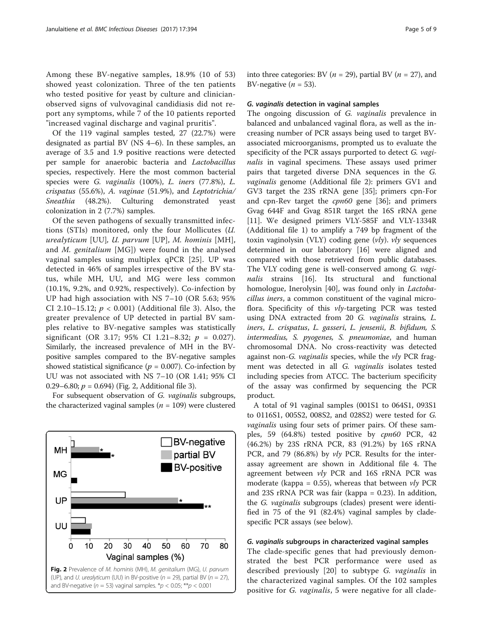Among these BV-negative samples, 18.9% (10 of 53) showed yeast colonization. Three of the ten patients who tested positive for yeast by culture and clinicianobserved signs of vulvovaginal candidiasis did not report any symptoms, while 7 of the 10 patients reported "increased vaginal discharge and vaginal pruritis".

Of the 119 vaginal samples tested, 27 (22.7%) were designated as partial BV (NS 4–6). In these samples, an average of 3.5 and 1.9 positive reactions were detected per sample for anaerobic bacteria and Lactobacillus species, respectively. Here the most common bacterial species were G. vaginalis (100%), L. iners (77.8%), L. crispatus (55.6%), A. vaginae (51.9%), and Leptotrichia/ Sneathia (48.2%). Culturing demonstrated yeast colonization in 2 (7.7%) samples.

Of the seven pathogens of sexually transmitted infections (STIs) monitored, only the four Mollicutes (U. urealyticum [UU], U. parvum [UP], M. hominis [MH], and M. genitalium [MG]) were found in the analysed vaginal samples using multiplex qPCR [[25](#page-8-0)]. UP was detected in 46% of samples irrespective of the BV status, while MH, UU, and MG were less common (10.1%, 9.2%, and 0.92%, respectively). Co-infection by UP had high association with NS 7–10 (OR 5.63; 95% CI 2.10–15.12;  $p < 0.001$ ) (Additional file [3](#page-7-0)). Also, the greater prevalence of UP detected in partial BV samples relative to BV-negative samples was statistically significant (OR 3.17; 95% CI 1.21–8.32;  $p = 0.027$ ). Similarly, the increased prevalence of MH in the BVpositive samples compared to the BV-negative samples showed statistical significance ( $p = 0.007$ ). Co-infection by UU was not associated with NS 7–10 (OR 1.41; 95% CI 0.29–6.80;  $p = 0.694$ ) (Fig. 2, Additional file [3](#page-7-0)).

For subsequent observation of G. vaginalis subgroups, the characterized vaginal samples ( $n = 109$ ) were clustered



into three categories: BV ( $n = 29$ ), partial BV ( $n = 27$ ), and BV-negative ( $n = 53$ ).

#### G. vaginalis detection in vaginal samples

The ongoing discussion of G. vaginalis prevalence in balanced and unbalanced vaginal flora, as well as the increasing number of PCR assays being used to target BVassociated microorganisms, prompted us to evaluate the specificity of the PCR assays purported to detect G. vaginalis in vaginal specimens. These assays used primer pairs that targeted diverse DNA sequences in the G. vaginalis genome (Additional file [2](#page-7-0)): primers GV1 and GV3 target the 23S rRNA gene [[35\]](#page-8-0); primers cpn-For and cpn-Rev target the *cpn60* gene [[36\]](#page-8-0); and primers Gvag 644F and Gvag 851R target the 16S rRNA gene [[11\]](#page-8-0). We designed primers VLY-585F and VLY-1334R (Additional file [1\)](#page-7-0) to amplify a 749 bp fragment of the toxin vaginolysin (VLY) coding gene  $(vly)$ .  $vly$  sequences determined in our laboratory [\[16](#page-8-0)] were aligned and compared with those retrieved from public databases. The VLY coding gene is well-conserved among G. vagi-nalis strains [\[16](#page-8-0)]. Its structural and functional homologue, Inerolysin [\[40\]](#page-8-0), was found only in *Lactoba*cillus iners, a common constituent of the vaginal microflora. Specificity of this vly-targeting PCR was tested using DNA extracted from 20 G. vaginalis strains, L. iners, L. crispatus, L. gasseri, L. jensenii, B. bifidum, S. intermedius, S. pyogenes, S. pneumoniae, and human chromosomal DNA. No cross-reactivity was detected against non-G. vaginalis species, while the vly PCR fragment was detected in all G. vaginalis isolates tested including species from ATCC. The bacterium specificity of the assay was confirmed by sequencing the PCR product.

A total of 91 vaginal samples (001S1 to 064S1, 093S1 to 0116S1, 005S2, 008S2, and 028S2) were tested for G. vaginalis using four sets of primer pairs. Of these samples, 59 (64.8%) tested positive by cpn60 PCR, 42 (46.2%) by 23S rRNA PCR, 83 (91.2%) by 16S rRNA PCR, and 79 (86.8%) by vly PCR. Results for the interassay agreement are shown in Additional file [4.](#page-7-0) The agreement between vly PCR and 16S rRNA PCR was moderate (kappa = 0.55), whereas that between  $vly$  PCR and 23S rRNA PCR was fair (kappa = 0.23). In addition, the G. vaginalis subgroups (clades) present were identified in 75 of the 91 (82.4%) vaginal samples by cladespecific PCR assays (see below).

## G. vaginalis subgroups in characterized vaginal samples

The clade-specific genes that had previously demonstrated the best PCR performance were used as described previously [\[20](#page-8-0)] to subtype G. vaginalis in the characterized vaginal samples. Of the 102 samples positive for *G. vaginalis*, 5 were negative for all clade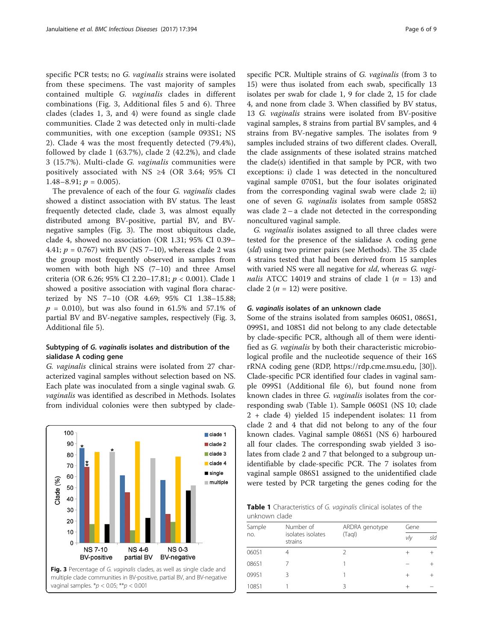<span id="page-5-0"></span>specific PCR tests; no G. vaginalis strains were isolated from these specimens. The vast majority of samples contained multiple G. vaginalis clades in different combinations (Fig. 3, Additional files [5](#page-7-0) and [6\)](#page-7-0). Three clades (clades 1, 3, and 4) were found as single clade communities. Clade 2 was detected only in multi-clade communities, with one exception (sample 093S1; NS 2). Clade 4 was the most frequently detected (79.4%), followed by clade 1 (63.7%), clade 2 (42.2%), and clade 3 (15.7%). Multi-clade G. vaginalis communities were positively associated with NS ≥4 (OR 3.64; 95% CI 1.48–8.91;  $p = 0.005$ ).

The prevalence of each of the four G. vaginalis clades showed a distinct association with BV status. The least frequently detected clade, clade 3, was almost equally distributed among BV-positive, partial BV, and BVnegative samples (Fig. 3). The most ubiquitous clade, clade 4, showed no association (OR 1.31; 95% CI 0.39– 4.41;  $p = 0.767$ ) with BV (NS 7–10), whereas clade 2 was the group most frequently observed in samples from women with both high NS (7–10) and three Amsel criteria (OR 6.26; 95% CI 2.20–17.81; p < 0.001). Clade 1 showed a positive association with vaginal flora characterized by NS 7–10 (OR 4.69; 95% CI 1.38–15.88;  $p = 0.010$ , but was also found in 61.5% and 57.1% of partial BV and BV-negative samples, respectively (Fig. 3, Additional file [5\)](#page-7-0).

# Subtyping of G. vaginalis isolates and distribution of the sialidase A coding gene

G. vaginalis clinical strains were isolated from 27 characterized vaginal samples without selection based on NS. Each plate was inoculated from a single vaginal swab. G. vaginalis was identified as described in Methods. Isolates from individual colonies were then subtyped by clade-



specific PCR. Multiple strains of G. vaginalis (from 3 to 15) were thus isolated from each swab, specifically 13 isolates per swab for clade 1, 9 for clade 2, 15 for clade 4, and none from clade 3. When classified by BV status, 13 G. vaginalis strains were isolated from BV-positive vaginal samples, 8 strains from partial BV samples, and 4 strains from BV-negative samples. The isolates from 9 samples included strains of two different clades. Overall, the clade assignments of these isolated strains matched the clade(s) identified in that sample by PCR, with two exceptions: i) clade 1 was detected in the noncultured vaginal sample 070S1, but the four isolates originated from the corresponding vaginal swab were clade 2; ii) one of seven G. vaginalis isolates from sample 058S2 was clade  $2 - a$  clade not detected in the corresponding

G. vaginalis isolates assigned to all three clades were tested for the presence of the sialidase A coding gene (sld) using two primer pairs (see Methods). The 35 clade 4 strains tested that had been derived from 15 samples with varied NS were all negative for sld, whereas G. vaginalis ATCC 14019 and strains of clade 1 ( $n = 13$ ) and clade 2 ( $n = 12$ ) were positive.

# G. vaginalis isolates of an unknown clade

noncultured vaginal sample.

Some of the strains isolated from samples 060S1, 086S1, 099S1, and 108S1 did not belong to any clade detectable by clade-specific PCR, although all of them were identified as G. vaginalis by both their characteristic microbiological profile and the nucleotide sequence of their 16S rRNA coding gene (RDP,<https://rdp.cme.msu.edu>, [\[30](#page-8-0)]). Clade-specific PCR identified four clades in vaginal sample 099S1 (Additional file [6](#page-7-0)), but found none from known clades in three G. vaginalis isolates from the corresponding swab (Table 1). Sample 060S1 (NS 10; clade 2 + clade 4) yielded 15 independent isolates: 11 from clade 2 and 4 that did not belong to any of the four known clades. Vaginal sample 086S1 (NS 6) harboured all four clades. The corresponding swab yielded 3 isolates from clade 2 and 7 that belonged to a subgroup unidentifiable by clade-specific PCR. The 7 isolates from vaginal sample 086S1 assigned to the unidentified clade were tested by PCR targeting the genes coding for the

Table 1 Characteristics of G. vaginalis clinical isolates of the unknown clade

| Sample<br>no. | Number of<br>isolates isolates<br>strains | ARDRA genotype<br>(Taql) | Gene |     |
|---------------|-------------------------------------------|--------------------------|------|-----|
|               |                                           |                          | vly  | sld |
| 060S1         |                                           | 2                        |      |     |
| 086S1         |                                           |                          |      |     |
| 099S1         | 3                                         |                          |      |     |
| 108S1         |                                           | ζ                        |      |     |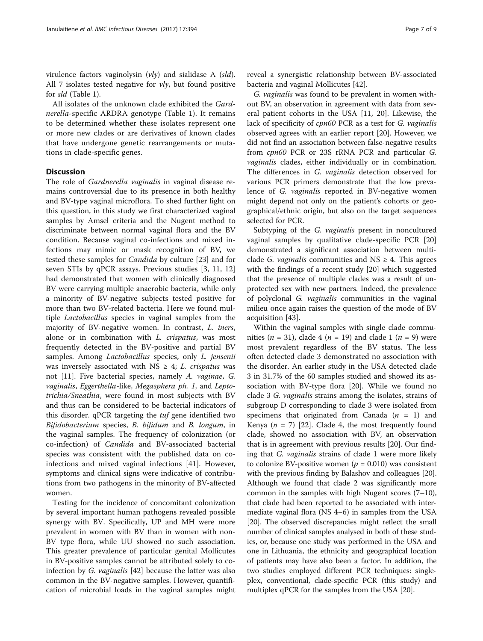virulence factors vaginolysin  $(vly)$  and sialidase A (sld). All 7 isolates tested negative for  $v/v$ , but found positive for sld (Table [1](#page-5-0)).

All isolates of the unknown clade exhibited the Gardnerella-specific ARDRA genotype (Table [1\)](#page-5-0). It remains to be determined whether these isolates represent one or more new clades or are derivatives of known clades that have undergone genetic rearrangements or mutations in clade-specific genes.

# **Discussion**

The role of Gardnerella vaginalis in vaginal disease remains controversial due to its presence in both healthy and BV-type vaginal microflora. To shed further light on this question, in this study we first characterized vaginal samples by Amsel criteria and the Nugent method to discriminate between normal vaginal flora and the BV condition. Because vaginal co-infections and mixed infections may mimic or mask recognition of BV, we tested these samples for Candida by culture [[23\]](#page-8-0) and for seven STIs by qPCR assays. Previous studies [[3,](#page-7-0) [11, 12](#page-8-0)] had demonstrated that women with clinically diagnosed BV were carrying multiple anaerobic bacteria, while only a minority of BV-negative subjects tested positive for more than two BV-related bacteria. Here we found multiple Lactobacillus species in vaginal samples from the majority of BV-negative women. In contrast, L. iners, alone or in combination with L. crispatus, was most frequently detected in the BV-positive and partial BV samples. Among Lactobacillus species, only L. jensenii was inversely associated with NS  $\geq$  4; *L. crispatus* was not [\[11](#page-8-0)]. Five bacterial species, namely A. vaginae, G. vaginalis, Eggerthella-like, Megasphera ph. 1, and Leptotrichia/Sneathia, were found in most subjects with BV and thus can be considered to be bacterial indicators of this disorder. qPCR targeting the tuf gene identified two Bifidobacterium species, B. bifidum and B. longum, in the vaginal samples. The frequency of colonization (or co-infection) of Candida and BV-associated bacterial species was consistent with the published data on coinfections and mixed vaginal infections [\[41](#page-8-0)]. However, symptoms and clinical signs were indicative of contributions from two pathogens in the minority of BV-affected women.

Testing for the incidence of concomitant colonization by several important human pathogens revealed possible synergy with BV. Specifically, UP and MH were more prevalent in women with BV than in women with non-BV type flora, while UU showed no such association. This greater prevalence of particular genital Mollicutes in BV-positive samples cannot be attributed solely to coinfection by G. vaginalis [[42\]](#page-8-0) because the latter was also common in the BV-negative samples. However, quantification of microbial loads in the vaginal samples might

reveal a synergistic relationship between BV-associated bacteria and vaginal Mollicutes [\[42](#page-8-0)].

G. vaginalis was found to be prevalent in women without BV, an observation in agreement with data from several patient cohorts in the USA [\[11](#page-8-0), [20](#page-8-0)]. Likewise, the lack of specificity of cpn60 PCR as a test for G. vaginalis observed agrees with an earlier report [[20\]](#page-8-0). However, we did not find an association between false-negative results from cpn60 PCR or 23S rRNA PCR and particular G. vaginalis clades, either individually or in combination. The differences in G. vaginalis detection observed for various PCR primers demonstrate that the low prevalence of G. vaginalis reported in BV-negative women might depend not only on the patient's cohorts or geographical/ethnic origin, but also on the target sequences selected for PCR.

Subtyping of the G. vaginalis present in noncultured vaginal samples by qualitative clade-specific PCR [[20](#page-8-0)] demonstrated a significant association between multiclade *G. vaginalis* communities and  $NS \geq 4$ . This agrees with the findings of a recent study [[20\]](#page-8-0) which suggested that the presence of multiple clades was a result of unprotected sex with new partners. Indeed, the prevalence of polyclonal G. vaginalis communities in the vaginal milieu once again raises the question of the mode of BV acquisition [\[43](#page-8-0)].

Within the vaginal samples with single clade communities ( $n = 31$ ), clade 4 ( $n = 19$ ) and clade 1 ( $n = 9$ ) were most prevalent regardless of the BV status. The less often detected clade 3 demonstrated no association with the disorder. An earlier study in the USA detected clade 3 in 31.7% of the 60 samples studied and showed its association with BV-type flora [\[20](#page-8-0)]. While we found no clade 3 G. vaginalis strains among the isolates, strains of subgroup D corresponding to clade 3 were isolated from specimens that originated from Canada  $(n = 1)$  and Kenya ( $n = 7$ ) [\[22\]](#page-8-0). Clade 4, the most frequently found clade, showed no association with BV, an observation that is in agreement with previous results [\[20](#page-8-0)]. Our finding that G. vaginalis strains of clade 1 were more likely to colonize BV-positive women ( $p = 0.010$ ) was consistent with the previous finding by Balashov and colleagues [[20](#page-8-0)]. Although we found that clade 2 was significantly more common in the samples with high Nugent scores  $(7-10)$ , that clade had been reported to be associated with intermediate vaginal flora (NS 4–6) in samples from the USA [[20](#page-8-0)]. The observed discrepancies might reflect the small number of clinical samples analysed in both of these studies, or, because one study was performed in the USA and one in Lithuania, the ethnicity and geographical location of patients may have also been a factor. In addition, the two studies employed different PCR techniques: singleplex, conventional, clade-specific PCR (this study) and multiplex qPCR for the samples from the USA [[20](#page-8-0)].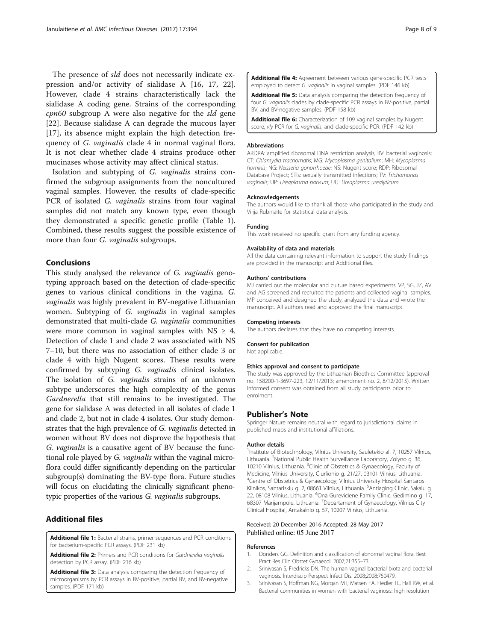<span id="page-7-0"></span>The presence of sld does not necessarily indicate expression and/or activity of sialidase A [[16, 17, 22](#page-8-0)]. However, clade 4 strains characteristically lack the sialidase A coding gene. Strains of the corresponding cpn60 subgroup A were also negative for the sld gene [[22\]](#page-8-0). Because sialidase A can degrade the mucous layer [[17\]](#page-8-0), its absence might explain the high detection frequency of G. vaginalis clade 4 in normal vaginal flora. It is not clear whether clade 4 strains produce other mucinases whose activity may affect clinical status.

Isolation and subtyping of G. vaginalis strains confirmed the subgroup assignments from the noncultured vaginal samples. However, the results of clade-specific PCR of isolated G. vaginalis strains from four vaginal samples did not match any known type, even though they demonstrated a specific genetic profile (Table [1](#page-5-0)). Combined, these results suggest the possible existence of more than four *G. vaginalis* subgroups.

# Conclusions

This study analysed the relevance of G. vaginalis genotyping approach based on the detection of clade-specific genes to various clinical conditions in the vagina. G. vaginalis was highly prevalent in BV-negative Lithuanian women. Subtyping of G. vaginalis in vaginal samples demonstrated that multi-clade G. vaginalis communities were more common in vaginal samples with  $NS \geq 4$ . Detection of clade 1 and clade 2 was associated with NS 7–10, but there was no association of either clade 3 or clade 4 with high Nugent scores. These results were confirmed by subtyping G. vaginalis clinical isolates. The isolation of G. vaginalis strains of an unknown subtype underscores the high complexity of the genus Gardnerella that still remains to be investigated. The gene for sialidase A was detected in all isolates of clade 1 and clade 2, but not in clade 4 isolates. Our study demonstrates that the high prevalence of G. vaginalis detected in women without BV does not disprove the hypothesis that G. vaginalis is a causative agent of BV because the functional role played by G. vaginalis within the vaginal microflora could differ significantly depending on the particular subgroup(s) dominating the BV-type flora. Future studies will focus on elucidating the clinically significant phenotypic properties of the various G. vaginalis subgroups.

# Additional files

[Additional file 1:](dx.doi.org/10.1186/s12879-017-2501-y) Bacterial strains, primer sequences and PCR conditions for bacterium-specific PCR assays. (PDF 231 kb)

[Additional file 2:](dx.doi.org/10.1186/s12879-017-2501-y) Primers and PCR conditions for Gardnerella vaginalis detection by PCR assay. (PDF 216 kb)

[Additional file 3:](dx.doi.org/10.1186/s12879-017-2501-y) Data analysis comparing the detection frequency of microorganisms by PCR assays in BV-positive, partial BV, and BV-negative samples. (PDF 171 kb)

[Additional file 4:](dx.doi.org/10.1186/s12879-017-2501-y) Agreement between various gene-specific PCR tests employed to detect G. vaginalis in vaginal samples. (PDF 146 kb)

[Additional file 5:](dx.doi.org/10.1186/s12879-017-2501-y) Data analysis comparing the detection frequency of four G. vaginalis clades by clade-specific PCR assays in BV-positive, partial BV, and BV-negative samples. (PDF 158 kb)

[Additional file 6:](dx.doi.org/10.1186/s12879-017-2501-y) Characterization of 109 vaginal samples by Nugent score, vly PCR for G. vaginalis, and clade-specific PCR. (PDF 142 kb)

## Abbreviations

ARDRA: amplified ribosomal DNA restriction analysis; BV: bacterial vaginosis; CT: Chlamydia trachomatis; MG: Mycoplasma genitalium; MH: Mycoplasma hominis; NG: Neisseria gonorrhoeae; NS: Nugent score; RDP: Ribosomal Database Project; STIs: sexually transmitted infections; TV: Trichomonas vaginalis; UP: Ureaplasma parvum; UU: Ureaplasma urealyticum

#### Acknowledgements

The authors would like to thank all those who participated in the study and Vilija Rubinaite for statistical data analysis.

#### Funding

This work received no specific grant from any funding agency.

#### Availability of data and materials

All the data containing relevant information to support the study findings are provided in the manuscript and Additional files.

#### Authors' contributions

MJ carried out the molecular and culture based experiments. VP, SG, JZ, AV and AG screened and recruited the patients and collected vaginal samples. MP conceived and designed the study, analyzed the data and wrote the manuscript. All authors read and approved the final manuscript.

# Competing interests

The authors declares that they have no competing interests.

# Consent for publication

Not applicable.

#### Ethics approval and consent to participate

The study was approved by the Lithuanian Bioethics Committee (approval no. 158200-1-3697-223, 12/11/2013; amendment no. 2, 8/12/2015). Written informed consent was obtained from all study participants prior to enrolment.

#### Publisher's Note

Springer Nature remains neutral with regard to jurisdictional claims in published maps and institutional affiliations.

#### Author details

<sup>1</sup>Institute of Biotechnology, Vilnius University, Sauletekio al. 7, 10257 Vilnius, Lithuania. <sup>2</sup>National Public Health Surveillance Laboratory, Zolyno g. 36 10210 Vilnius, Lithuania. <sup>3</sup>Clinic of Obstetrics & Gynaecology, Faculty of Medicine, Vilnius University, Ciurlionio g. 21/27, 03101 Vilnius, Lithuania. 4 Centre of Obstetrics & Gynaecology, Vilnius University Hospital Santaros Klinikos, Santariskiu g. 2, 08661 Vilnius, Lithuania. <sup>5</sup> Antiaging Clinic, Sakalu g. 22, 08108 Vilnius, Lithuania. <sup>6</sup>Ona Gureviciene Family Clinic, Gedimino g. 17 68307 Marijampole, Lithuania. <sup>7</sup>Departament of Gynaecology, Vilnius City Clinical Hospital, Antakalnio g. 57, 10207 Vilnius, Lithuania.

#### Received: 20 December 2016 Accepted: 28 May 2017 Published online: 05 June 2017

#### References

- 1. Donders GG. Definition and classification of abnormal vaginal flora. Best Pract Res Clin Obstet Gynaecol. 2007;21:355–73.
- 2. Srinivasan S, Fredricks DN. The human vaginal bacterial biota and bacterial vaginosis. Interdiscip Perspect Infect Dis. 2008;2008:750479.
- 3. Srinivasan S, Hoffman NG, Morgan MT, Matsen FA, Fiedler TL, Hall RW, et al. Bacterial communities in women with bacterial vaginosis: high resolution